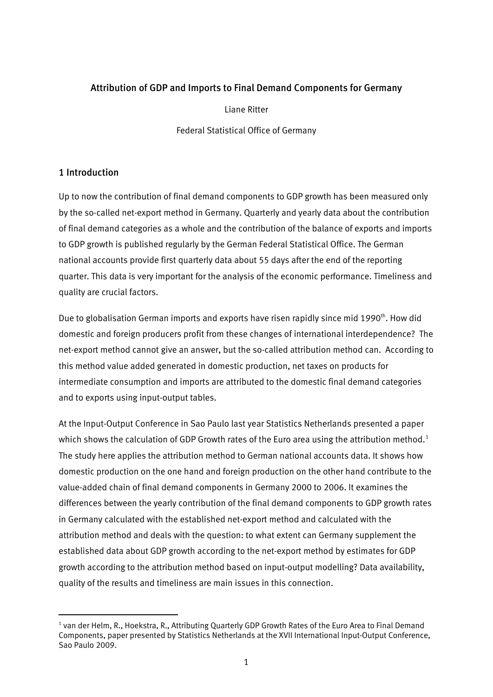## Attribution of GDP and Imports to Final Demand Components for Germany

Liane Ritter

Federal Statistical Office of Germany

## 1 Introduction

1

Up to now the contribution of final demand components to GDP growth has been measured only by the so-called net-export method in Germany. Quarterly and yearly data about the contribution of final demand categories as a whole and the contribution of the balance of exports and imports to GDP growth is published regularly by the German Federal Statistical Office. The German national accounts provide first quarterly data about 55 days after the end of the reporting quarter. This data is very important for the analysis of the economic performance. Timeliness and quality are crucial factors.

Due to globalisation German imports and exports have risen rapidly since mid 1990<sup>th</sup>. How did domestic and foreign producers profit from these changes of international interdependence? The net-export method cannot give an answer, but the so-called attribution method can. According to this method value added generated in domestic production, net taxes on products for intermediate consumption and imports are attributed to the domestic final demand categories and to exports using input-output tables.

At the Input-Output Conference in Sao Paulo last year Statistics Netherlands presented a paper which shows the calculation of GDP Growth rates of the Euro area using the attribution method.<sup>[1](#page-0-0)</sup> The study here applies the attribution method to German national accounts data. It shows how domestic production on the one hand and foreign production on the other hand contribute to the value-added chain of final demand components in Germany 2000 to 2006. It examines the differences between the yearly contribution of the final demand components to GDP growth rates in Germany calculated with the established net-export method and calculated with the attribution method and deals with the question: to what extent can Germany supplement the established data about GDP growth according to the net-export method by estimates for GDP growth according to the attribution method based on input-output modelling? Data availability, quality of the results and timeliness are main issues in this connection.

<span id="page-0-0"></span><sup>&</sup>lt;sup>1</sup> van der Helm, R., Hoekstra, R., Attributing Quarterly GDP Growth Rates of the Euro Area to Final Demand Components, paper presented by Statistics Netherlands at the XVII International Input-Output Conference, Sao Paulo 2009.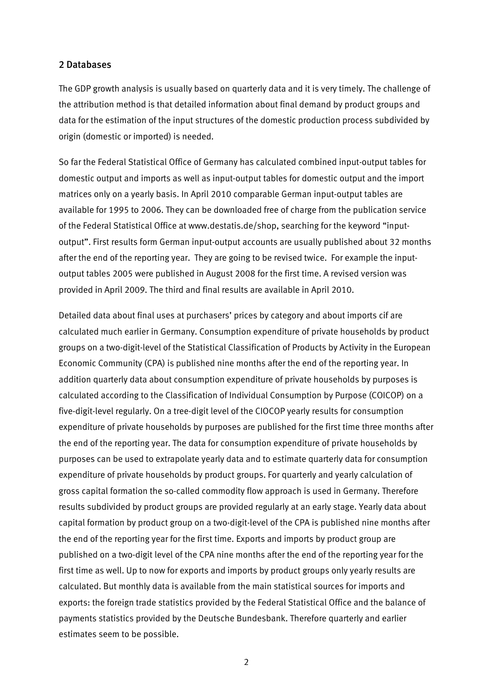#### 2 Databases

The GDP growth analysis is usually based on quarterly data and it is very timely. The challenge of the attribution method is that detailed information about final demand by product groups and data for the estimation of the input structures of the domestic production process subdivided by origin (domestic or imported) is needed.

So far the Federal Statistical Office of Germany has calculated combined input-output tables for domestic output and imports as well as input-output tables for domestic output and the import matrices only on a yearly basis. In April 2010 comparable German input-output tables are available for 1995 to 2006. They can be downloaded free of charge from the publication service of the Federal Statistical Office at www.destatis.de/shop, searching for the keyword "inputoutput". First results form German input-output accounts are usually published about 32 months after the end of the reporting year. They are going to be revised twice. For example the inputoutput tables 2005 were published in August 2008 for the first time. A revised version was provided in April 2009. The third and final results are available in April 2010.

Detailed data about final uses at purchasers' prices by category and about imports cif are calculated much earlier in Germany. Consumption expenditure of private households by product groups on a two-digit-level of the Statistical Classification of Products by Activity in the European Economic Community (CPA) is published nine months after the end of the reporting year. In addition quarterly data about consumption expenditure of private households by purposes is calculated according to the Classification of Individual Consumption by Purpose (COICOP) on a five-digit-level regularly. On a tree-digit level of the CIOCOP yearly results for consumption expenditure of private households by purposes are published for the first time three months after the end of the reporting year. The data for consumption expenditure of private households by purposes can be used to extrapolate yearly data and to estimate quarterly data for consumption expenditure of private households by product groups. For quarterly and yearly calculation of gross capital formation the so-called commodity flow approach is used in Germany. Therefore results subdivided by product groups are provided regularly at an early stage. Yearly data about capital formation by product group on a two-digit-level of the CPA is published nine months after the end of the reporting year for the first time. Exports and imports by product group are published on a two-digit level of the CPA nine months after the end of the reporting year for the first time as well. Up to now for exports and imports by product groups only yearly results are calculated. But monthly data is available from the main statistical sources for imports and exports: the foreign trade statistics provided by the Federal Statistical Office and the balance of payments statistics provided by the Deutsche Bundesbank. Therefore quarterly and earlier estimates seem to be possible.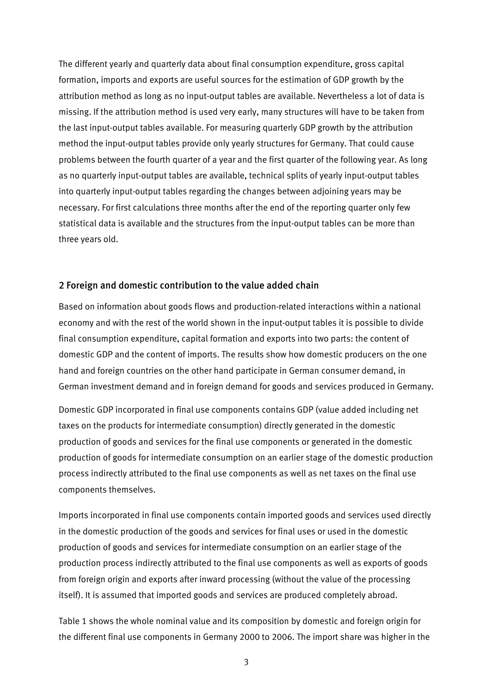The different yearly and quarterly data about final consumption expenditure, gross capital formation, imports and exports are useful sources for the estimation of GDP growth by the attribution method as long as no input-output tables are available. Nevertheless a lot of data is missing. If the attribution method is used very early, many structures will have to be taken from the last input-output tables available. For measuring quarterly GDP growth by the attribution method the input-output tables provide only yearly structures for Germany. That could cause problems between the fourth quarter of a year and the first quarter of the following year. As long as no quarterly input-output tables are available, technical splits of yearly input-output tables into quarterly input-output tables regarding the changes between adjoining years may be necessary. For first calculations three months after the end of the reporting quarter only few statistical data is available and the structures from the input-output tables can be more than three years old.

#### 2 Foreign and domestic contribution to the value added chain

Based on information about goods flows and production-related interactions within a national economy and with the rest of the world shown in the input-output tables it is possible to divide final consumption expenditure, capital formation and exports into two parts: the content of domestic GDP and the content of imports. The results show how domestic producers on the one hand and foreign countries on the other hand participate in German consumer demand, in German investment demand and in foreign demand for goods and services produced in Germany.

Domestic GDP incorporated in final use components contains GDP (value added including net taxes on the products for intermediate consumption) directly generated in the domestic production of goods and services for the final use components or generated in the domestic production of goods for intermediate consumption on an earlier stage of the domestic production process indirectly attributed to the final use components as well as net taxes on the final use components themselves.

Imports incorporated in final use components contain imported goods and services used directly in the domestic production of the goods and services for final uses or used in the domestic production of goods and services for intermediate consumption on an earlier stage of the production process indirectly attributed to the final use components as well as exports of goods from foreign origin and exports after inward processing (without the value of the processing itself). It is assumed that imported goods and services are produced completely abroad.

Table 1 shows the whole nominal value and its composition by domestic and foreign origin for the different final use components in Germany 2000 to 2006. The import share was higher in the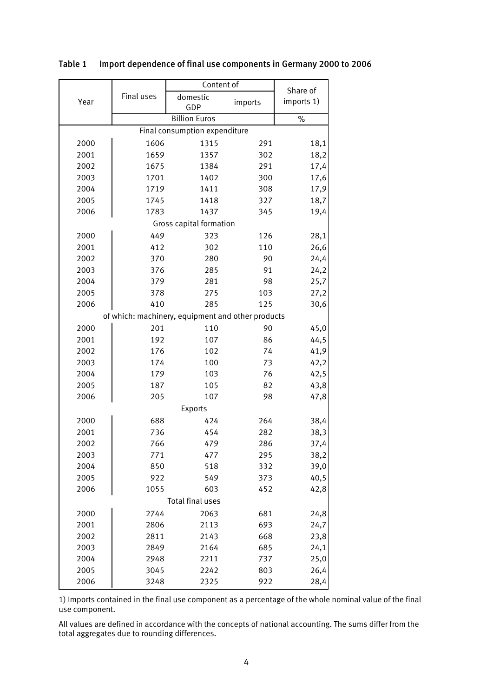|                               |                                                   | Content of              | Share of |            |  |
|-------------------------------|---------------------------------------------------|-------------------------|----------|------------|--|
| Year                          | Final uses                                        | domestic<br>GDP         | imports  | imports 1) |  |
|                               |                                                   | <b>Billion Euros</b>    |          | $\%$       |  |
| Final consumption expenditure |                                                   |                         |          |            |  |
| 2000                          | 1606<br>1315<br>18,1<br>291                       |                         |          |            |  |
| 2001                          | 1659                                              | 1357                    | 302      | 18,2       |  |
| 2002                          | 1675                                              | 1384                    | 291      | 17,4       |  |
| 2003                          | 1701                                              | 1402                    | 300      | 17,6       |  |
| 2004                          | 1719                                              | 1411                    | 308      | 17,9       |  |
| 2005                          | 1745                                              | 1418                    | 327      | 18,7       |  |
| 2006                          | 1783                                              | 1437                    | 345      | 19,4       |  |
|                               |                                                   | Gross capital formation |          |            |  |
| 2000                          | 449                                               | 323                     | 126      | 28,1       |  |
| 2001                          | 412                                               | 302                     | 110      | 26,6       |  |
| 2002                          | 370                                               | 280                     | 90       | 24,4       |  |
| 2003                          | 376                                               | 285                     | 91       | 24,2       |  |
| 2004                          | 379                                               | 281                     | 98       | 25,7       |  |
| 2005                          | 378                                               | 275                     | 103      | 27,2       |  |
| 2006                          | 410                                               | 285                     | 125      | 30,6       |  |
|                               | of which: machinery, equipment and other products |                         |          |            |  |
| 2000                          | 201                                               | 110                     | 90       | 45,0       |  |
| 2001                          | 192                                               | 107                     | 86       | 44,5       |  |
| 2002                          | 176                                               | 102                     | 74       | 41,9       |  |
| 2003                          | 174                                               | 100                     | 73       | 42,2       |  |
| 2004                          | 179                                               | 103                     | 76       | 42,5       |  |
| 2005                          | 187                                               | 105                     | 82       | 43,8       |  |
| 2006                          | 205                                               | 107                     | 98       | 47,8       |  |
| Exports                       |                                                   |                         |          |            |  |
| 2000                          | 688                                               | 424                     | 264      | 38,4       |  |
| 2001                          | 736                                               | 454                     | 282      | 38,3       |  |
| 2002                          | 766                                               | 479                     | 286      | 37,4       |  |
| 2003                          | 771                                               | 477                     | 295      | 38,2       |  |
| 2004                          | 850                                               | 518                     | 332      | 39,0       |  |
| 2005                          | 922                                               | 549                     | 373      | 40,5       |  |
| 2006                          | 1055                                              | 603                     | 452      | 42,8       |  |
| Total final uses              |                                                   |                         |          |            |  |
| 2000                          | 2744                                              | 2063                    | 681      | 24,8       |  |
| 2001                          | 2806                                              | 2113                    | 693      | 24,7       |  |
| 2002                          | 2811                                              | 2143                    | 668      | 23,8       |  |
| 2003                          | 2849                                              | 2164                    | 685      | 24,1       |  |
| 2004                          | 2948                                              | 2211                    | 737      | 25,0       |  |
| 2005                          | 3045                                              | 2242                    | 803      | 26,4       |  |
| 2006                          | 3248                                              | 2325                    | 922      | 28,4       |  |

#### Table 1 Import dependence of final use components in Germany 2000 to 2006

1) Imports contained in the final use component as a percentage of the whole nominal value of the final use component.

All values are defined in accordance with the concepts of national accounting. The sums differ from the total aggregates due to rounding differences.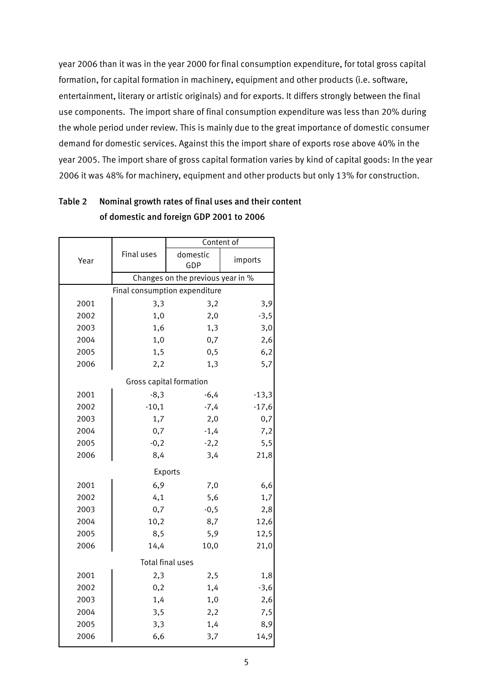year 2006 than it was in the year 2000 for final consumption expenditure, for total gross capital formation, for capital formation in machinery, equipment and other products (i.e. software, entertainment, literary or artistic originals) and for exports. It differs strongly between the final use components. The import share of final consumption expenditure was less than 20% during the whole period under review. This is mainly due to the great importance of domestic consumer demand for domestic services. Against this the import share of exports rose above 40% in the year 2005. The import share of gross capital formation varies by kind of capital goods: In the year 2006 it was 48% for machinery, equipment and other products but only 13% for construction.

|                               |                                   | Content of      |         |  |  |  |
|-------------------------------|-----------------------------------|-----------------|---------|--|--|--|
| Year                          | Final uses                        | domestic<br>GDP | imports |  |  |  |
|                               | Changes on the previous year in % |                 |         |  |  |  |
| Final consumption expenditure |                                   |                 |         |  |  |  |
| 2001                          | 3,3                               | 3,2             | 3,9     |  |  |  |
| 2002                          | 1,0                               | 2,0             | $-3,5$  |  |  |  |
| 2003                          | 1,6                               | 1,3             | 3,0     |  |  |  |
| 2004                          | 1,0                               | 0,7             | 2,6     |  |  |  |
| 2005                          | 1,5                               | 0, 5            | 6,2     |  |  |  |
| 2006                          | 2,2                               | 1,3             | 5,7     |  |  |  |
| Gross capital formation       |                                   |                 |         |  |  |  |
| 2001                          | $-8,3$                            | $-6,4$          | $-13,3$ |  |  |  |
| 2002                          | $-10,1$                           | $-7,4$          | $-17,6$ |  |  |  |
| 2003                          | 1,7                               | 2,0             | 0,7     |  |  |  |
| 2004                          | 0,7                               | $-1,4$          | 7,2     |  |  |  |
| 2005                          | $-0,2$                            | $-2,2$          | 5, 5    |  |  |  |
| 2006                          | 8,4                               | 3,4             | 21,8    |  |  |  |
|                               | Exports                           |                 |         |  |  |  |
| 2001                          | 6,9                               | 7,0             | 6,6     |  |  |  |
| 2002                          | 4,1                               | 5,6             | 1,7     |  |  |  |
| 2003                          | 0,7                               | $-0,5$          | 2,8     |  |  |  |
| 2004                          | 10,2                              | 8,7             | 12,6    |  |  |  |
| 2005                          | 8,5                               | 5,9             | 12,5    |  |  |  |
| 2006                          | 14,4                              | 10,0            | 21,0    |  |  |  |
| Total final uses              |                                   |                 |         |  |  |  |
| 2001                          | 2,3                               | 2,5             | 1,8     |  |  |  |
| 2002                          | 0,2                               | 1,4             | $-3,6$  |  |  |  |
| 2003                          | 1,4                               | 1,0             | 2,6     |  |  |  |
| 2004                          | 3,5                               | 2,2             | 7,5     |  |  |  |
| 2005                          | 3,3                               | 1,4             | 8,9     |  |  |  |
| 2006                          | 6,6                               | 3,7             | 14,9    |  |  |  |

Table 2 Nominal growth rates of final uses and their content of domestic and foreign GDP 2001 to 2006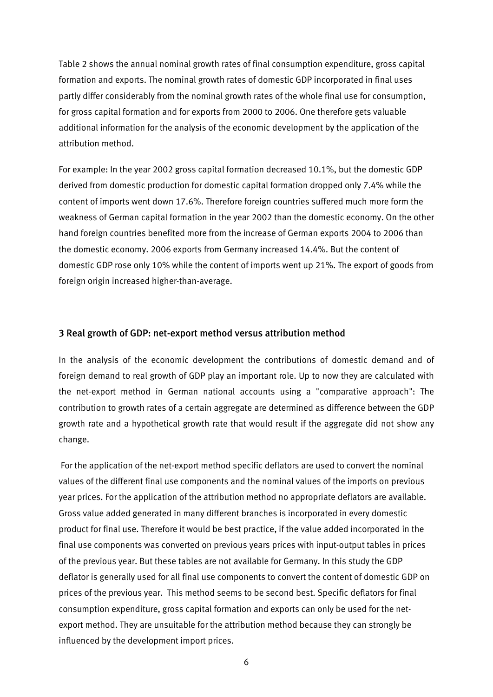Table 2 shows the annual nominal growth rates of final consumption expenditure, gross capital formation and exports. The nominal growth rates of domestic GDP incorporated in final uses partly differ considerably from the nominal growth rates of the whole final use for consumption, for gross capital formation and for exports from 2000 to 2006. One therefore gets valuable additional information for the analysis of the economic development by the application of the attribution method.

For example: In the year 2002 gross capital formation decreased 10.1%, but the domestic GDP derived from domestic production for domestic capital formation dropped only 7.4% while the content of imports went down 17.6%. Therefore foreign countries suffered much more form the weakness of German capital formation in the year 2002 than the domestic economy. On the other hand foreign countries benefited more from the increase of German exports 2004 to 2006 than the domestic economy. 2006 exports from Germany increased 14.4%. But the content of domestic GDP rose only 10% while the content of imports went up 21%. The export of goods from foreign origin increased higher-than-average.

#### 3 Real growth of GDP: net-export method versus attribution method

In the analysis of the economic development the contributions of domestic demand and of foreign demand to real growth of GDP play an important role. Up to now they are calculated with the net-export method in German national accounts using a "comparative approach": The contribution to growth rates of a certain aggregate are determined as difference between the GDP growth rate and a hypothetical growth rate that would result if the aggregate did not show any change.

 For the application of the net-export method specific deflators are used to convert the nominal values of the different final use components and the nominal values of the imports on previous year prices. For the application of the attribution method no appropriate deflators are available. Gross value added generated in many different branches is incorporated in every domestic product for final use. Therefore it would be best practice, if the value added incorporated in the final use components was converted on previous years prices with input-output tables in prices of the previous year. But these tables are not available for Germany. In this study the GDP deflator is generally used for all final use components to convert the content of domestic GDP on prices of the previous year. This method seems to be second best. Specific deflators for final consumption expenditure, gross capital formation and exports can only be used for the netexport method. They are unsuitable for the attribution method because they can strongly be influenced by the development import prices.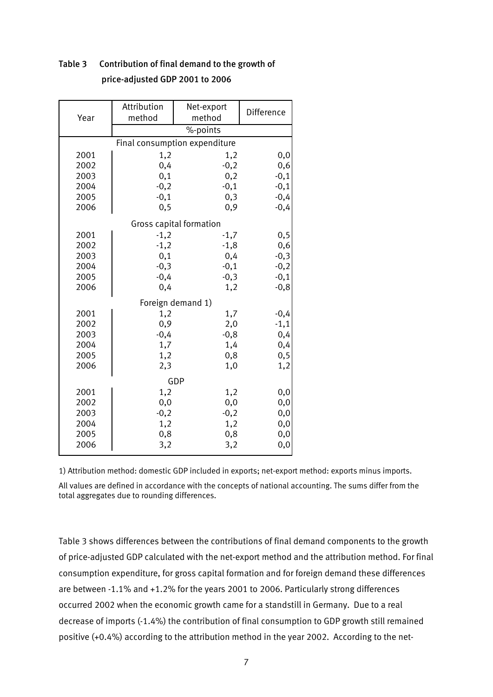| Year                    | Attribution<br>method         | Net-export<br>method | Difference |  |  |
|-------------------------|-------------------------------|----------------------|------------|--|--|
|                         | %-points                      |                      |            |  |  |
|                         | Final consumption expenditure |                      |            |  |  |
| 2001                    | 1,2                           | 1,2                  | 0,0        |  |  |
| 2002                    | 0,4                           | $-0,2$               | 0,6        |  |  |
| 2003                    | 0,1                           | 0,2                  | $-0,1$     |  |  |
| 2004                    | $-0,2$                        | $-0,1$               | $-0,1$     |  |  |
| 2005                    | $-0,1$                        | 0,3                  | $-0,4$     |  |  |
| 2006                    | 0,9<br>0, 5                   |                      | $-0,4$     |  |  |
| Gross capital formation |                               |                      |            |  |  |
| 2001                    | $-1,2$                        | $-1,7$               | 0, 5       |  |  |
| 2002                    | $-1,2$                        | $-1,8$               | 0,6        |  |  |
| 2003                    | 0,1                           | 0,4                  | $-0,3$     |  |  |
| 2004                    | $-0,3$                        | $-0,1$               | $-0,2$     |  |  |
| 2005                    | $-0,4$                        | $-0,3$               | $-0,1$     |  |  |
| 2006                    | 0,4                           | 1,2                  | $-0,8$     |  |  |
| Foreign demand 1)       |                               |                      |            |  |  |
| 2001                    | 1,2                           | 1,7                  | $-0,4$     |  |  |
| 2002                    | 0,9                           | 2,0                  | $-1,1$     |  |  |
| 2003                    | $-0,4$                        | $-0,8$               | 0,4        |  |  |
| 2004                    | 1,7                           | 1,4                  | 0,4        |  |  |
| 2005                    | 1,2                           | 0,8                  | 0, 5       |  |  |
| 2006                    | 2,3                           | 1,0                  | 1,2        |  |  |
|                         | GDP                           |                      |            |  |  |
| 2001                    | 1,2                           | 1,2                  | 0,0        |  |  |
| 2002                    | 0,0                           | 0,0                  | 0,0        |  |  |
| 2003                    | $-0,2$                        | $-0,2$               | 0,0        |  |  |
| 2004                    | 1,2                           | 1,2                  | 0,0        |  |  |
| 2005                    | 0,8                           | 0,8                  | 0,0        |  |  |
| 2006                    | 3,2<br>3,2                    |                      | 0,0        |  |  |

## Table 3 Contribution of final demand to the growth of price-adjusted GDP 2001 to 2006

1) Attribution method: domestic GDP included in exports; net-export method: exports minus imports. All values are defined in accordance with the concepts of national accounting. The sums differ from the total aggregates due to rounding differences.

Table 3 shows differences between the contributions of final demand components to the growth of price-adjusted GDP calculated with the net-export method and the attribution method. For final consumption expenditure, for gross capital formation and for foreign demand these differences are between -1.1% and +1.2% for the years 2001 to 2006. Particularly strong differences occurred 2002 when the economic growth came for a standstill in Germany. Due to a real decrease of imports (-1.4%) the contribution of final consumption to GDP growth still remained positive (+0.4%) according to the attribution method in the year 2002. According to the net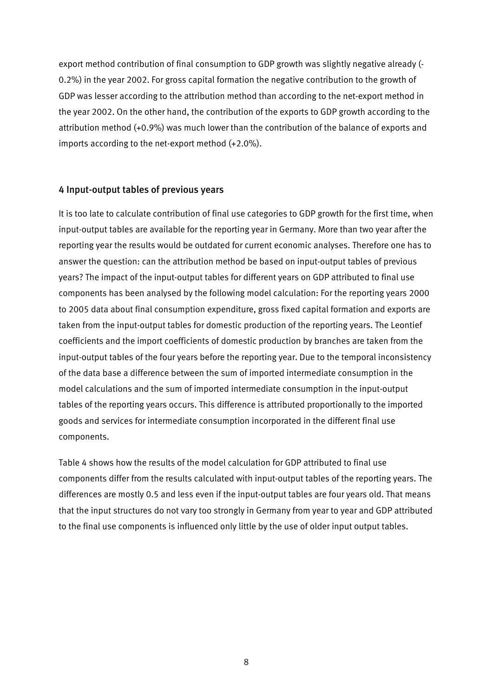export method contribution of final consumption to GDP growth was slightly negative already (- 0.2%) in the year 2002. For gross capital formation the negative contribution to the growth of GDP was lesser according to the attribution method than according to the net-export method in the year 2002. On the other hand, the contribution of the exports to GDP growth according to the attribution method (+0.9%) was much lower than the contribution of the balance of exports and imports according to the net-export method (+2.0%).

#### 4 Input-output tables of previous years

It is too late to calculate contribution of final use categories to GDP growth for the first time, when input-output tables are available for the reporting year in Germany. More than two year after the reporting year the results would be outdated for current economic analyses. Therefore one has to answer the question: can the attribution method be based on input-output tables of previous years? The impact of the input-output tables for different years on GDP attributed to final use components has been analysed by the following model calculation: For the reporting years 2000 to 2005 data about final consumption expenditure, gross fixed capital formation and exports are taken from the input-output tables for domestic production of the reporting years. The Leontief coefficients and the import coefficients of domestic production by branches are taken from the input-output tables of the four years before the reporting year. Due to the temporal inconsistency of the data base a difference between the sum of imported intermediate consumption in the model calculations and the sum of imported intermediate consumption in the input-output tables of the reporting years occurs. This difference is attributed proportionally to the imported goods and services for intermediate consumption incorporated in the different final use components.

Table 4 shows how the results of the model calculation for GDP attributed to final use components differ from the results calculated with input-output tables of the reporting years. The differences are mostly 0.5 and less even if the input-output tables are four years old. That means that the input structures do not vary too strongly in Germany from year to year and GDP attributed to the final use components is influenced only little by the use of older input output tables.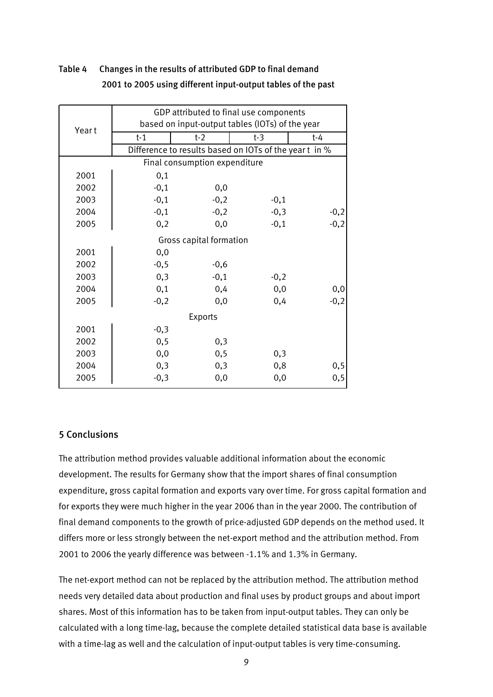|                               | GDP attributed to final use components          |                                                        |        |        |  |
|-------------------------------|-------------------------------------------------|--------------------------------------------------------|--------|--------|--|
| Year t                        | based on input-output tables (IOTs) of the year |                                                        |        |        |  |
|                               | $t-1$                                           | $t-2$                                                  | $t-3$  | $t-4$  |  |
|                               |                                                 | Difference to results based on IOTs of the year t in % |        |        |  |
| Final consumption expenditure |                                                 |                                                        |        |        |  |
| 2001                          | 0,1                                             |                                                        |        |        |  |
| 2002                          | $-0,1$                                          | 0,0                                                    |        |        |  |
| 2003                          | $-0,1$                                          | $-0,2$                                                 | $-0,1$ |        |  |
| 2004                          | $-0,1$                                          | $-0,2$                                                 | $-0,3$ | $-0,2$ |  |
| 2005                          | 0,2                                             | 0,0                                                    | $-0,1$ | $-0,2$ |  |
| Gross capital formation       |                                                 |                                                        |        |        |  |
| 2001                          | 0,0                                             |                                                        |        |        |  |
| 2002                          | $-0,5$                                          | $-0,6$                                                 |        |        |  |
| 2003                          | 0,3                                             | $-0,1$                                                 | $-0,2$ |        |  |
| 2004                          | 0,1                                             | 0,4                                                    | 0,0    | 0,0    |  |
| 2005                          | $-0,2$                                          | 0,0                                                    | 0,4    | $-0,2$ |  |
| Exports                       |                                                 |                                                        |        |        |  |
| 2001                          | $-0,3$                                          |                                                        |        |        |  |
| 2002                          | 0, 5                                            | 0,3                                                    |        |        |  |
| 2003                          | 0,0                                             | 0, 5                                                   | 0,3    |        |  |
| 2004                          | 0,3                                             | 0,3                                                    | 0,8    | 0, 5   |  |
| 2005                          | $-0,3$                                          | 0,0                                                    | 0,0    | 0, 5   |  |
|                               |                                                 |                                                        |        |        |  |

# Table 4 Changes in the results of attributed GDP to final demand 2001 to 2005 using different input-output tables of the past

### 5 Conclusions

The attribution method provides valuable additional information about the economic development. The results for Germany show that the import shares of final consumption expenditure, gross capital formation and exports vary over time. For gross capital formation and for exports they were much higher in the year 2006 than in the year 2000. The contribution of final demand components to the growth of price-adjusted GDP depends on the method used. It differs more or less strongly between the net-export method and the attribution method. From 2001 to 2006 the yearly difference was between -1.1% and 1.3% in Germany.

The net-export method can not be replaced by the attribution method. The attribution method needs very detailed data about production and final uses by product groups and about import shares. Most of this information has to be taken from input-output tables. They can only be calculated with a long time-lag, because the complete detailed statistical data base is available with a time-lag as well and the calculation of input-output tables is very time-consuming.